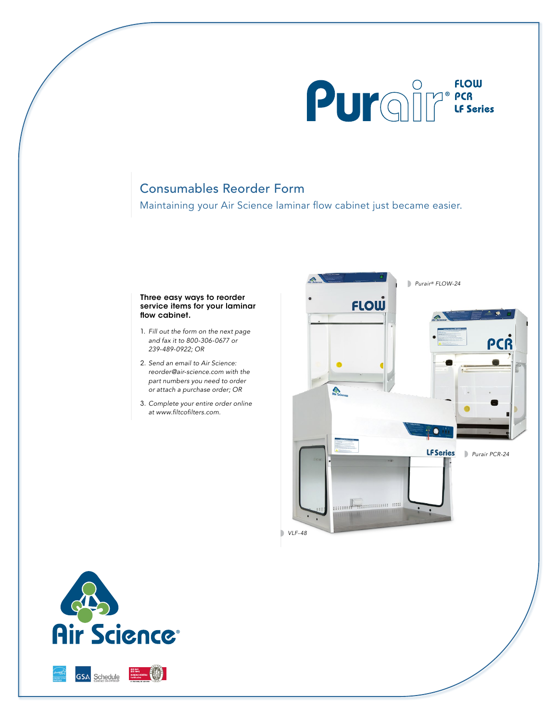

## Consumables Reorder Form

Maintaining your Air Science laminar flow cabinet just became easier.

## Three easy ways to reorder service items for your laminar flow cabinet.

- 1. *Fill out the form on the next page and fax it to 800-306-0677 or 239-489-0922; OR*
- 2. *Send an email to Air Science: reorder@air-science.com with the part numbers you need to order or attach a purchase order; OR*
- 3. *Complete your entire order online* at www.filtcofilters.com.





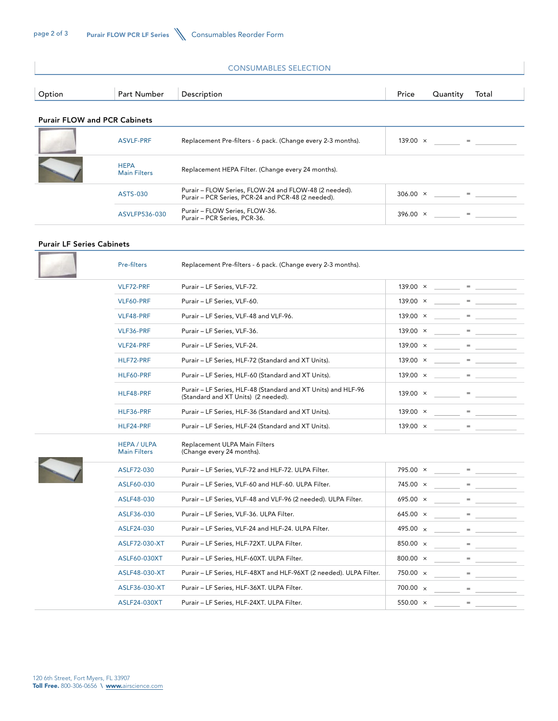| <b>CONSUMABLES SELECTION</b>        |                                    |                                                                                                             |                                                    |  |
|-------------------------------------|------------------------------------|-------------------------------------------------------------------------------------------------------------|----------------------------------------------------|--|
| Option                              | Part Number                        | Description                                                                                                 | Price<br>Quantity<br>Total                         |  |
| <b>Purair FLOW and PCR Cabinets</b> |                                    |                                                                                                             |                                                    |  |
|                                     | <b>ASVLF-PRF</b>                   | Replacement Pre-filters - 6 pack. (Change every 2-3 months).                                                | $139.00 \times$<br>$\qquad \qquad = \qquad \qquad$ |  |
|                                     | <b>HEPA</b><br><b>Main Filters</b> | Replacement HEPA Filter. (Change every 24 months).                                                          |                                                    |  |
|                                     | ASTS-030                           | Purair - FLOW Series, FLOW-24 and FLOW-48 (2 needed).<br>Purair - PCR Series, PCR-24 and PCR-48 (2 needed). | $306.00 \times$<br>$=$                             |  |
|                                     | ASVLFP536-030                      | Purair - FLOW Series, FLOW-36.<br>Purair - PCR Series, PCR-36.                                              | $396.00 \times$<br>the contract of the contract of |  |
| <b>Purair LF Series Cabinets</b>    |                                    |                                                                                                             |                                                    |  |

| Pre-filters                               | Replacement Pre-filters - 6 pack. (Change every 2-3 months).                                         |                 |                                                                                                                                                                                                                                                                                                                                                                                                                                                |
|-------------------------------------------|------------------------------------------------------------------------------------------------------|-----------------|------------------------------------------------------------------------------------------------------------------------------------------------------------------------------------------------------------------------------------------------------------------------------------------------------------------------------------------------------------------------------------------------------------------------------------------------|
| VLF72-PRF                                 | Purair - LF Series, VLF-72.                                                                          | $139.00 \times$ | <b>Contract Contract Contract Contract</b>                                                                                                                                                                                                                                                                                                                                                                                                     |
| VLF60-PRF                                 | Purair - LF Series, VLF-60.                                                                          | $139.00 \times$ | $\frac{1}{2} \left( \frac{1}{2} \right) \frac{1}{2} \left( \frac{1}{2} \right) \frac{1}{2} \left( \frac{1}{2} \right) \frac{1}{2} \left( \frac{1}{2} \right) \frac{1}{2} \left( \frac{1}{2} \right) \frac{1}{2} \left( \frac{1}{2} \right) \frac{1}{2} \left( \frac{1}{2} \right) \frac{1}{2} \left( \frac{1}{2} \right) \frac{1}{2} \left( \frac{1}{2} \right) \frac{1}{2} \left( \frac{1}{2} \right) \frac{1}{2} \left( \frac{1}{2} \right)$ |
| VLF48-PRF                                 | Purair - LF Series, VLF-48 and VLF-96.                                                               | $139.00 \times$ | $=$                                                                                                                                                                                                                                                                                                                                                                                                                                            |
| VLF36-PRF                                 | Purair - LF Series, VLF-36.                                                                          | $139.00 \times$ | $=$                                                                                                                                                                                                                                                                                                                                                                                                                                            |
| VLF24-PRF                                 | Purair - LF Series, VLF-24.                                                                          | $139.00 \times$ | $=$ $-$                                                                                                                                                                                                                                                                                                                                                                                                                                        |
| HLF72-PRF                                 | Purair - LF Series, HLF-72 (Standard and XT Units).                                                  | 139.00 $\times$ | the contract of the contract of                                                                                                                                                                                                                                                                                                                                                                                                                |
| HLF60-PRF                                 | Purair - LF Series, HLF-60 (Standard and XT Units).                                                  | $139.00 \times$ | $=$                                                                                                                                                                                                                                                                                                                                                                                                                                            |
| HLF48-PRF                                 | Purair - LF Series, HLF-48 (Standard and XT Units) and HLF-96<br>(Standard and XT Units) (2 needed). | $139.00 \times$ | $=$                                                                                                                                                                                                                                                                                                                                                                                                                                            |
| HLF36-PRF                                 | Purair - LF Series, HLF-36 (Standard and XT Units).                                                  | 139.00 $\times$ | $=$ $-$                                                                                                                                                                                                                                                                                                                                                                                                                                        |
| HLF24-PRF                                 | Purair - LF Series, HLF-24 (Standard and XT Units).                                                  | $139.00 \times$ | $\qquad \qquad = \qquad \qquad$                                                                                                                                                                                                                                                                                                                                                                                                                |
|                                           |                                                                                                      |                 |                                                                                                                                                                                                                                                                                                                                                                                                                                                |
| <b>HEPA / ULPA</b><br><b>Main Filters</b> | Replacement ULPA Main Filters<br>(Change every 24 months).                                           |                 |                                                                                                                                                                                                                                                                                                                                                                                                                                                |
| ASLF72-030                                | Purair - LF Series, VLF-72 and HLF-72. ULPA Filter.                                                  | 795.00 ×        |                                                                                                                                                                                                                                                                                                                                                                                                                                                |
| ASLF60-030                                | Purair - LF Series, VLF-60 and HLF-60. ULPA Filter.                                                  | 745.00 ×        |                                                                                                                                                                                                                                                                                                                                                                                                                                                |
| ASLF48-030                                | Purair - LF Series, VLF-48 and VLF-96 (2 needed). ULPA Filter.                                       | $695.00 \times$ |                                                                                                                                                                                                                                                                                                                                                                                                                                                |
| ASLF36-030                                | Purair - LF Series, VLF-36. ULPA Filter.                                                             | 645.00 $\times$ |                                                                                                                                                                                                                                                                                                                                                                                                                                                |
| ASLF24-030                                | Purair - LF Series, VLF-24 and HLF-24. ULPA Filter.                                                  | 495.00 ×        |                                                                                                                                                                                                                                                                                                                                                                                                                                                |
| ASLF72-030-XT                             | Purair - LF Series, HLF-72XT. ULPA Filter.                                                           | 850.00 ×        |                                                                                                                                                                                                                                                                                                                                                                                                                                                |
| ASLF60-030XT                              | Purair - LF Series, HLF-60XT. ULPA Filter.                                                           | 800.00 ×        |                                                                                                                                                                                                                                                                                                                                                                                                                                                |
| ASLF48-030-XT                             | Purair - LF Series, HLF-48XT and HLF-96XT (2 needed). ULPA Filter.                                   | 750.00 ×        |                                                                                                                                                                                                                                                                                                                                                                                                                                                |
| ASLF36-030-XT                             | Purair - LF Series, HLF-36XT. ULPA Filter.                                                           | 700.00 $\times$ |                                                                                                                                                                                                                                                                                                                                                                                                                                                |
| ASLF24-030XT                              | Purair - LF Series, HLF-24XT. ULPA Filter.                                                           | 550.00 $\times$ |                                                                                                                                                                                                                                                                                                                                                                                                                                                |

7